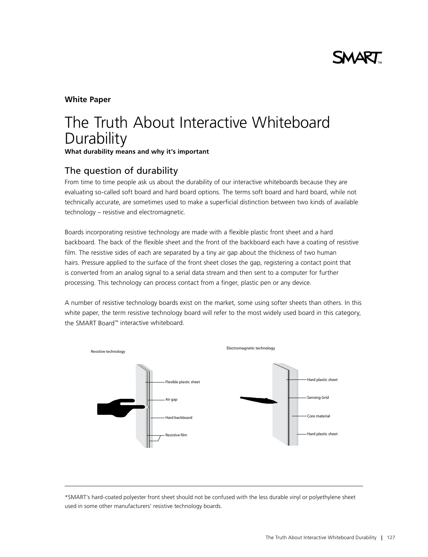## **White Paper**

# The Truth About Interactive Whiteboard **Durability What durability means and why it's important**

# The question of durability

From time to time people ask us about the durability of our interactive whiteboards because they are evaluating so-called soft board and hard board options. The terms soft board and hard board, while not technically accurate, are sometimes used to make a superficial distinction between two kinds of available technology – resistive and electromagnetic.

Boards incorporating resistive technology are made with a flexible plastic front sheet and a hard backboard. The back of the flexible sheet and the front of the backboard each have a coating of resistive film. The resistive sides of each are separated by a tiny air gap about the thickness of two human hairs. Pressure applied to the surface of the front sheet closes the gap, registering a contact point that is converted from an analog signal to a serial data stream and then sent to a computer for further processing. This technology can process contact from a finger, plastic pen or any device.

A number of resistive technology boards exist on the market, some using softer sheets than others. In this white paper, the term resistive technology board will refer to the most widely used board in this category, the SMART Board™ interactive whiteboard.



\*SMART's hard-coated polyester front sheet should not be confused with the less durable vinyl or polyethylene sheet used in some other manufacturers' resistive technology boards.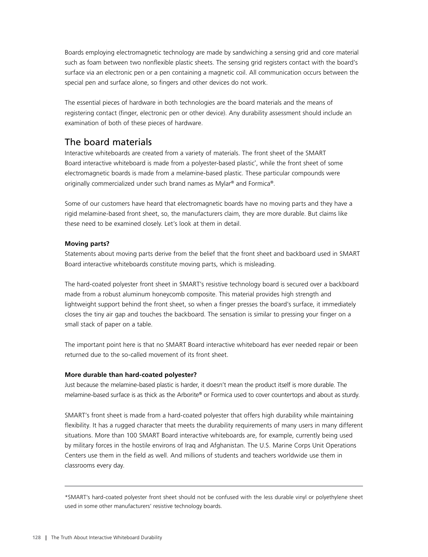Boards employing electromagnetic technology are made by sandwiching a sensing grid and core material such as foam between two nonflexible plastic sheets. The sensing grid registers contact with the board's surface via an electronic pen or a pen containing a magnetic coil. All communication occurs between the special pen and surface alone, so fingers and other devices do not work.

The essential pieces of hardware in both technologies are the board materials and the means of registering contact (finger, electronic pen or other device). Any durability assessment should include an examination of both of these pieces of hardware.

# The board materials

Interactive whiteboards are created from a variety of materials. The front sheet of the SMART Board interactive whiteboard is made from a polyester-based plastic\* , while the front sheet of some electromagnetic boards is made from a melamine-based plastic. These particular compounds were originally commercialized under such brand names as Mylar® and Formica®.

Some of our customers have heard that electromagnetic boards have no moving parts and they have a rigid melamine-based front sheet, so, the manufacturers claim, they are more durable. But claims like these need to be examined closely. Let's look at them in detail.

### **Moving parts?**

Statements about moving parts derive from the belief that the front sheet and backboard used in SMART Board interactive whiteboards constitute moving parts, which is misleading.

The hard-coated polyester front sheet in SMART's resistive technology board is secured over a backboard made from a robust aluminum honeycomb composite. This material provides high strength and lightweight support behind the front sheet, so when a finger presses the board's surface, it immediately closes the tiny air gap and touches the backboard. The sensation is similar to pressing your finger on a small stack of paper on a table.

The important point here is that no SMART Board interactive whiteboard has ever needed repair or been returned due to the so-called movement of its front sheet.

#### **More durable than hard-coated polyester?**

Just because the melamine-based plastic is harder, it doesn't mean the product itself is more durable. The melamine-based surface is as thick as the Arborite® or Formica used to cover countertops and about as sturdy.

SMART's front sheet is made from a hard-coated polyester that offers high durability while maintaining flexibility. It has a rugged character that meets the durability requirements of many users in many different situations. More than 100 SMART Board interactive whiteboards are, for example, currently being used by military forces in the hostile environs of Iraq and Afghanistan. The U.S. Marine Corps Unit Operations Centers use them in the field as well. And millions of students and teachers worldwide use them in classrooms every day.

\*SMART's hard-coated polyester front sheet should not be confused with the less durable vinyl or polyethylene sheet used in some other manufacturers' resistive technology boards.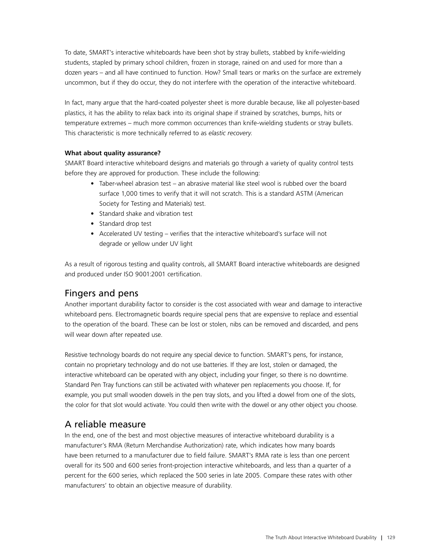To date, SMART's interactive whiteboards have been shot by stray bullets, stabbed by knife-wielding students, stapled by primary school children, frozen in storage, rained on and used for more than a dozen years – and all have continued to function. How? Small tears or marks on the surface are extremely uncommon, but if they do occur, they do not interfere with the operation of the interactive whiteboard.

In fact, many argue that the hard-coated polyester sheet is more durable because, like all polyester-based plastics, it has the ability to relax back into its original shape if strained by scratches, bumps, hits or temperature extremes – much more common occurrences than knife-wielding students or stray bullets. This characteristic is more technically referred to as *elastic recovery*.

#### **What about quality assurance?**

SMART Board interactive whiteboard designs and materials go through a variety of quality control tests before they are approved for production. These include the following:

- **•**  Taber-wheel abrasion test an abrasive material like steel wool is rubbed over the board surface 1,000 times to verify that it will not scratch. This is a standard ASTM (American Society for Testing and Materials) test.
- **•**  Standard shake and vibration test
- **•**  Standard drop test
- **•**  Accelerated UV testing verifies that the interactive whiteboard's surface will not degrade or yellow under UV light

As a result of rigorous testing and quality controls, all SMART Board interactive whiteboards are designed and produced under ISO 9001:2001 certification.

# Fingers and pens

Another important durability factor to consider is the cost associated with wear and damage to interactive whiteboard pens. Electromagnetic boards require special pens that are expensive to replace and essential to the operation of the board. These can be lost or stolen, nibs can be removed and discarded, and pens will wear down after repeated use.

Resistive technology boards do not require any special device to function. SMART's pens, for instance, contain no proprietary technology and do not use batteries. If they are lost, stolen or damaged, the interactive whiteboard can be operated with any object, including your finger, so there is no downtime. Standard Pen Tray functions can still be activated with whatever pen replacements you choose. If, for example, you put small wooden dowels in the pen tray slots, and you lifted a dowel from one of the slots, the color for that slot would activate. You could then write with the dowel or any other object you choose.

# A reliable measure

In the end, one of the best and most objective measures of interactive whiteboard durability is a manufacturer's RMA (Return Merchandise Authorization) rate, which indicates how many boards have been returned to a manufacturer due to field failure. SMART's RMA rate is less than one percent overall for its 500 and 600 series front-projection interactive whiteboards, and less than a quarter of a percent for the 600 series, which replaced the 500 series in late 2005. Compare these rates with other manufacturers' to obtain an objective measure of durability.